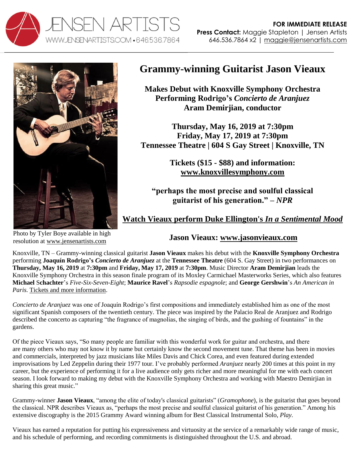



## **Grammy-winning Guitarist Jason Vieaux**

**Makes Debut with Knoxville Symphony Orchestra Performing Rodrigo's** *Concierto de Aranjuez* **Aram Demirjian, conductor**

**Thursday, May 16, 2019 at 7:30pm Friday, May 17, 2019 at 7:30pm Tennessee Theatre | 604 S Gay Street | Knoxville, TN** 

> **Tickets (\$15 - \$88) and information: [www.knoxvillesymphony.com](https://www.knoxvillesymphony.com/event/331/an-american-in-paris)**

**"perhaps the most precise and soulful classical guitarist of his generation." –** *NPR*

**[Watch Vieaux perform Duke Ellington's](http://www.youtube.com/watch?v=6Mod9vYk4IE)** *In a Sentimental Mood*

Photo by Tyler Boye available in high resolution at [www.jensenartists.com](http://www.jensenartists.com/jason-vieaux)

**Jason Vieaux: [www.jasonvieaux.com](http://www.jasonvieaux.com/)**

Knoxville, TN – Grammy-winning classical guitarist **Jason Vieaux** makes his debut with the **Knoxville Symphony Orchestra** performing **Joaquín Rodrigo's** *Concierto de Aranjuez* at the **Tennessee Theatre** (604 S. Gay Street) in two performances on **Thursday, May 16, 2019** at **7:30pm** and **Friday, May 17, 2019** at **7:30pm**. Music Director **Aram Demirjian** leads the Knoxville Symphony Orchestra in this season finale program of its Moxley Carmichael Masterworks Series, which also features **Michael** S**chachter**'s *Five-Six-Seven-Eight*; **Maurice Ravel**'s *Rapsodie espagnole*; and **George Gershwin**'s *An American in Paris.* [Tickets and more information.](https://www.knoxvillesymphony.com/event/331/an-american-in-paris/)

*Concierto de Aranjuez* was one of Joaquín Rodrigo's first compositions and immediately established him as one of the most significant Spanish composers of the twentieth century. The piece was inspired by the Palacio Real de Aranjuez and Rodrigo described the concerto as capturing "the fragrance of magnolias, the singing of birds, and the gushing of fountains" in the gardens.

Of the piece Vieaux says, "So many people are familiar with this wonderful work for guitar and orchestra, and there are many others who may not know it by name but certainly know the second movement tune. That theme has been in movies and commercials, interpreted by jazz musicians like Miles Davis and Chick Corea, and even featured during extended improvisations by Led Zeppelin during their 1977 tour. I've probably performed *Aranjuez* nearly 200 times at this point in my career, but the experience of performing it for a live audience only gets richer and more meaningful for me with each concert season. I look forward to making my debut with the Knoxville Symphony Orchestra and working with Maestro Demirjian in sharing this great music."

Grammy-winner **Jason Vieaux**, "among the elite of today's classical guitarists" (*Gramophone*), is the guitarist that goes beyond the classical. NPR describes Vieaux as, "perhaps the most precise and soulful classical guitarist of his generation." Among his extensive discography is the 2015 Grammy Award winning album for Best Classical Instrumental Solo, *Play*.

Vieaux has earned a reputation for putting his expressiveness and virtuosity at the service of a remarkably wide range of music, and his schedule of performing, and recording commitments is distinguished throughout the U.S. and abroad.